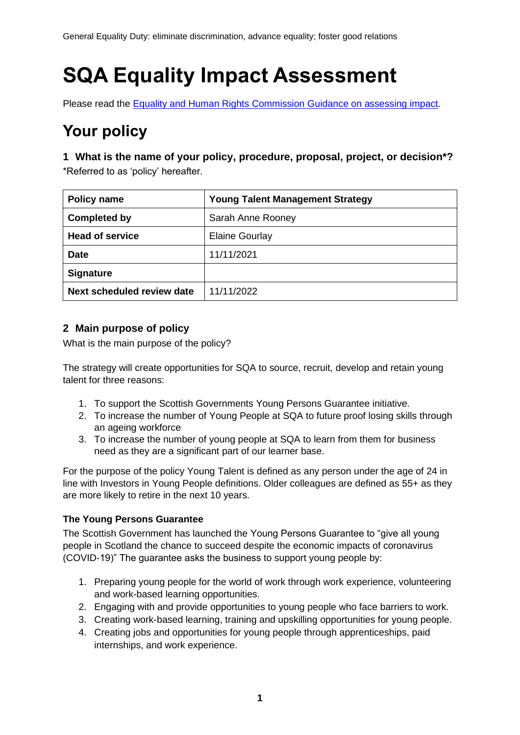# **SQA Equality Impact Assessment**

Please read the [Equality and Human Rights Commission Guidance on assessing impact.](https://www.equalityhumanrights.com/sites/default/files/assessing-impact-public-sectory-equality-duty-scotland.pdf)

# **Your policy**

**1 What is the name of your policy, procedure, proposal, project, or decision\*?** \*Referred to as 'policy' hereafter.

| <b>Policy name</b>         | <b>Young Talent Management Strategy</b> |  |
|----------------------------|-----------------------------------------|--|
| <b>Completed by</b>        | Sarah Anne Rooney                       |  |
| <b>Head of service</b>     | <b>Elaine Gourlay</b>                   |  |
| <b>Date</b>                | 11/11/2021                              |  |
| <b>Signature</b>           |                                         |  |
| Next scheduled review date | 11/11/2022                              |  |

#### **2 Main purpose of policy**

What is the main purpose of the policy?

The strategy will create opportunities for SQA to source, recruit, develop and retain young talent for three reasons:

- 1. To support the Scottish Governments Young Persons Guarantee initiative.
- 2. To increase the number of Young People at SQA to future proof losing skills through an ageing workforce
- 3. To increase the number of young people at SQA to learn from them for business need as they are a significant part of our learner base.

For the purpose of the policy Young Talent is defined as any person under the age of 24 in line with Investors in Young People definitions. Older colleagues are defined as 55+ as they are more likely to retire in the next 10 years.

#### **The Young Persons Guarantee**

The Scottish Government has launched the Young Persons Guarantee to "give all young people in Scotland the chance to succeed despite the economic impacts of coronavirus (COVID-19)" The guarantee asks the business to support young people by:

- 1. Preparing young people for the world of work through work experience, volunteering and work-based learning opportunities.
- 2. Engaging with and provide opportunities to young people who face barriers to work.
- 3. Creating work-based learning, training and upskilling opportunities for young people.
- 4. Creating jobs and opportunities for young people through apprenticeships, paid internships, and work experience.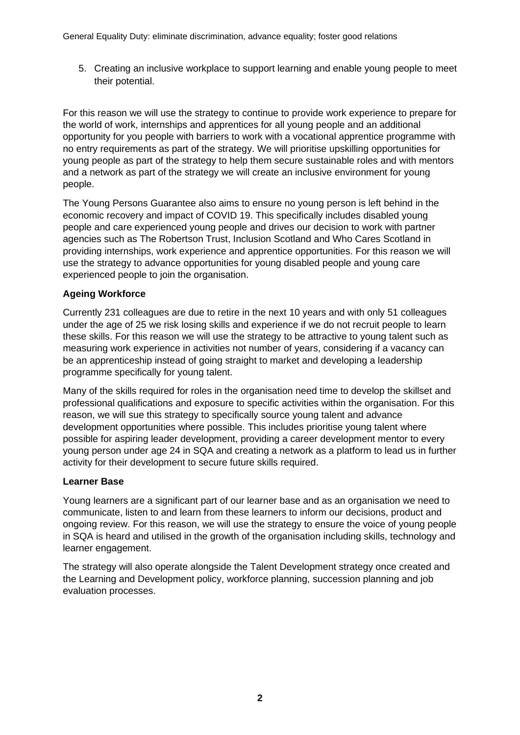5. Creating an inclusive workplace to support learning and enable young people to meet their potential.

For this reason we will use the strategy to continue to provide work experience to prepare for the world of work, internships and apprentices for all young people and an additional opportunity for you people with barriers to work with a vocational apprentice programme with no entry requirements as part of the strategy. We will prioritise upskilling opportunities for young people as part of the strategy to help them secure sustainable roles and with mentors and a network as part of the strategy we will create an inclusive environment for young people.

The Young Persons Guarantee also aims to ensure no young person is left behind in the economic recovery and impact of COVID 19. This specifically includes disabled young people and care experienced young people and drives our decision to work with partner agencies such as The Robertson Trust, Inclusion Scotland and Who Cares Scotland in providing internships, work experience and apprentice opportunities. For this reason we will use the strategy to advance opportunities for young disabled people and young care experienced people to join the organisation.

#### **Ageing Workforce**

Currently 231 colleagues are due to retire in the next 10 years and with only 51 colleagues under the age of 25 we risk losing skills and experience if we do not recruit people to learn these skills. For this reason we will use the strategy to be attractive to young talent such as measuring work experience in activities not number of years, considering if a vacancy can be an apprenticeship instead of going straight to market and developing a leadership programme specifically for young talent.

Many of the skills required for roles in the organisation need time to develop the skillset and professional qualifications and exposure to specific activities within the organisation. For this reason, we will sue this strategy to specifically source young talent and advance development opportunities where possible. This includes prioritise young talent where possible for aspiring leader development, providing a career development mentor to every young person under age 24 in SQA and creating a network as a platform to lead us in further activity for their development to secure future skills required.

#### **Learner Base**

Young learners are a significant part of our learner base and as an organisation we need to communicate, listen to and learn from these learners to inform our decisions, product and ongoing review. For this reason, we will use the strategy to ensure the voice of young people in SQA is heard and utilised in the growth of the organisation including skills, technology and learner engagement.

The strategy will also operate alongside the Talent Development strategy once created and the Learning and Development policy, workforce planning, succession planning and job evaluation processes.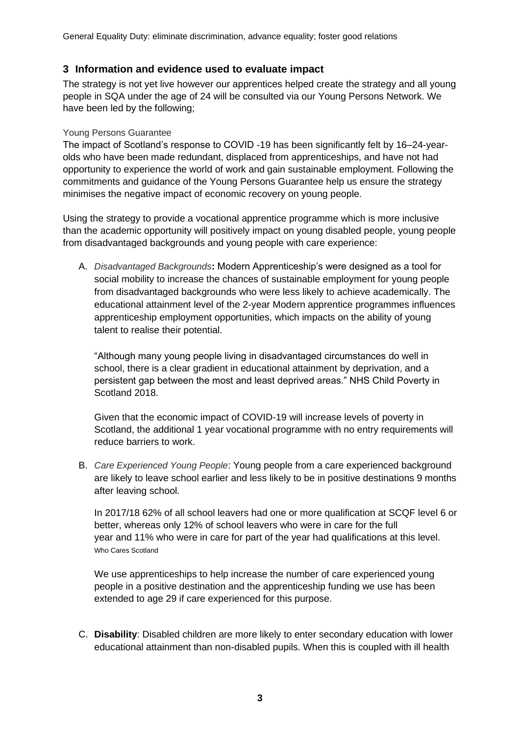General Equality Duty: eliminate discrimination, advance equality; foster good relations

#### **3 Information and evidence used to evaluate impact**

The strategy is not yet live however our apprentices helped create the strategy and all young people in SQA under the age of 24 will be consulted via our Young Persons Network. We have been led by the following;

#### Young Persons Guarantee

The impact of Scotland's response to COVID -19 has been significantly felt by 16–24-yearolds who have been made redundant, displaced from apprenticeships, and have not had opportunity to experience the world of work and gain sustainable employment. Following the commitments and guidance of the Young Persons Guarantee help us ensure the strategy minimises the negative impact of economic recovery on young people.

Using the strategy to provide a vocational apprentice programme which is more inclusive than the academic opportunity will positively impact on young disabled people, young people from disadvantaged backgrounds and young people with care experience:

A. *Disadvantaged Backgrounds***:** Modern Apprenticeship's were designed as a tool for social mobility to increase the chances of sustainable employment for young people from disadvantaged backgrounds who were less likely to achieve academically. The educational attainment level of the 2-year Modern apprentice programmes influences apprenticeship employment opportunities, which impacts on the ability of young talent to realise their potential.

"Although many young people living in disadvantaged circumstances do well in school, there is a clear gradient in educational attainment by deprivation, and a persistent gap between the most and least deprived areas." NHS Child Poverty in Scotland 2018.

Given that the economic impact of COVID-19 will increase levels of poverty in Scotland, the additional 1 year vocational programme with no entry requirements will reduce barriers to work.

B. *Care Experienced Young People*: Young people from a care experienced background are likely to leave school earlier and less likely to be in positive destinations 9 months after leaving school.

In 2017/18 62% of all school leavers had one or more qualification at SCQF level 6 or better, whereas only 12% of school leavers who were in care for the full year and 11% who were in care for part of the year had qualifications at this level. Who Cares Scotland

We use apprenticeships to help increase the number of care experienced young people in a positive destination and the apprenticeship funding we use has been extended to age 29 if care experienced for this purpose.

C. **Disability**: Disabled children are more likely to enter secondary education with lower educational attainment than non-disabled pupils. When this is coupled with ill health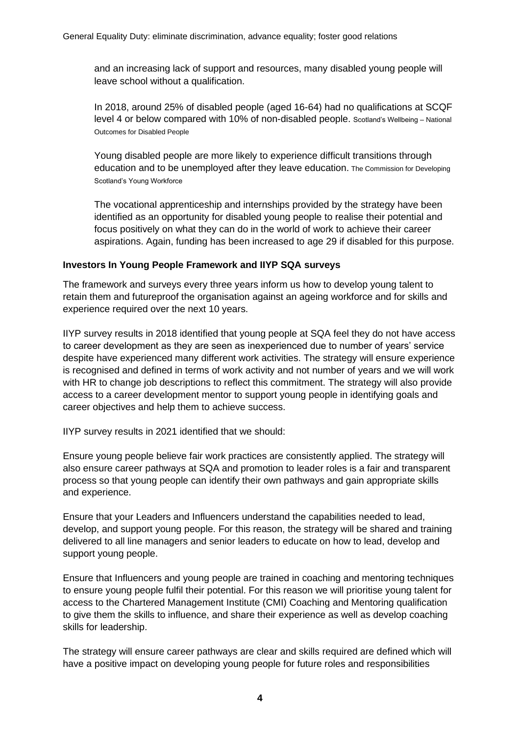and an increasing lack of support and resources, many disabled young people will leave school without a qualification.

In 2018, around 25% of disabled people (aged 16-64) had no qualifications at SCQF level 4 or below compared with 10% of non-disabled people. Scotland's Wellbeing – National Outcomes for Disabled People

Young disabled people are more likely to experience difficult transitions through education and to be unemployed after they leave education. The Commission for Developing Scotland's Young Workforce

The vocational apprenticeship and internships provided by the strategy have been identified as an opportunity for disabled young people to realise their potential and focus positively on what they can do in the world of work to achieve their career aspirations. Again, funding has been increased to age 29 if disabled for this purpose.

#### **Investors In Young People Framework and IIYP SQA surveys**

The framework and surveys every three years inform us how to develop young talent to retain them and futureproof the organisation against an ageing workforce and for skills and experience required over the next 10 years.

IIYP survey results in 2018 identified that young people at SQA feel they do not have access to career development as they are seen as inexperienced due to number of years' service despite have experienced many different work activities. The strategy will ensure experience is recognised and defined in terms of work activity and not number of years and we will work with HR to change job descriptions to reflect this commitment. The strategy will also provide access to a career development mentor to support young people in identifying goals and career objectives and help them to achieve success.

IIYP survey results in 2021 identified that we should:

Ensure young people believe fair work practices are consistently applied. The strategy will also ensure career pathways at SQA and promotion to leader roles is a fair and transparent process so that young people can identify their own pathways and gain appropriate skills and experience.

Ensure that your Leaders and Influencers understand the capabilities needed to lead, develop, and support young people. For this reason, the strategy will be shared and training delivered to all line managers and senior leaders to educate on how to lead, develop and support young people.

Ensure that Influencers and young people are trained in coaching and mentoring techniques to ensure young people fulfil their potential. For this reason we will prioritise young talent for access to the Chartered Management Institute (CMI) Coaching and Mentoring qualification to give them the skills to influence, and share their experience as well as develop coaching skills for leadership.

The strategy will ensure career pathways are clear and skills required are defined which will have a positive impact on developing young people for future roles and responsibilities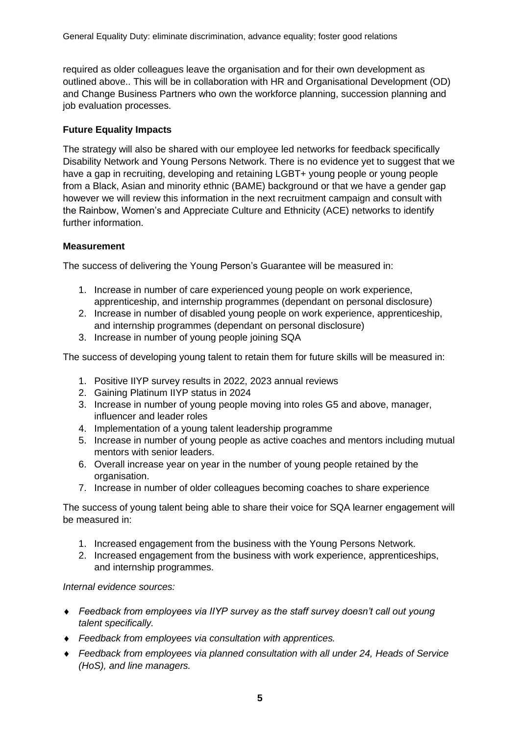required as older colleagues leave the organisation and for their own development as outlined above.. This will be in collaboration with HR and Organisational Development (OD) and Change Business Partners who own the workforce planning, succession planning and job evaluation processes.

#### **Future Equality Impacts**

The strategy will also be shared with our employee led networks for feedback specifically Disability Network and Young Persons Network. There is no evidence yet to suggest that we have a gap in recruiting, developing and retaining LGBT+ young people or young people from a Black, Asian and minority ethnic (BAME) background or that we have a gender gap however we will review this information in the next recruitment campaign and consult with the Rainbow, Women's and Appreciate Culture and Ethnicity (ACE) networks to identify further information.

#### **Measurement**

The success of delivering the Young Person's Guarantee will be measured in:

- 1. Increase in number of care experienced young people on work experience, apprenticeship, and internship programmes (dependant on personal disclosure)
- 2. Increase in number of disabled young people on work experience, apprenticeship, and internship programmes (dependant on personal disclosure)
- 3. Increase in number of young people joining SQA

The success of developing young talent to retain them for future skills will be measured in:

- 1. Positive IIYP survey results in 2022, 2023 annual reviews
- 2. Gaining Platinum IIYP status in 2024
- 3. Increase in number of young people moving into roles G5 and above, manager, influencer and leader roles
- 4. Implementation of a young talent leadership programme
- 5. Increase in number of young people as active coaches and mentors including mutual mentors with senior leaders.
- 6. Overall increase year on year in the number of young people retained by the organisation.
- 7. Increase in number of older colleagues becoming coaches to share experience

The success of young talent being able to share their voice for SQA learner engagement will be measured in:

- 1. Increased engagement from the business with the Young Persons Network.
- 2. Increased engagement from the business with work experience, apprenticeships, and internship programmes.

#### *Internal evidence sources:*

- *Feedback from employees via IIYP survey as the staff survey doesn't call out young talent specifically.*
- *Feedback from employees via consultation with apprentices.*
- *Feedback from employees via planned consultation with all under 24, Heads of Service (HoS), and line managers.*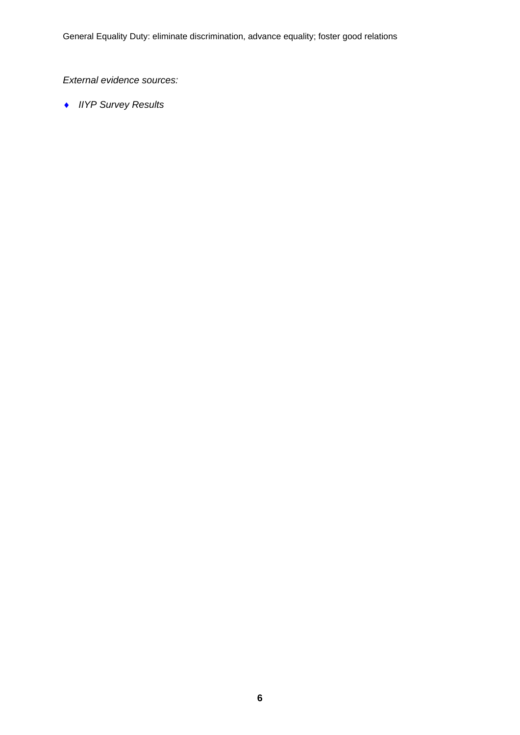*External evidence sources:*

*IIYP Survey Results*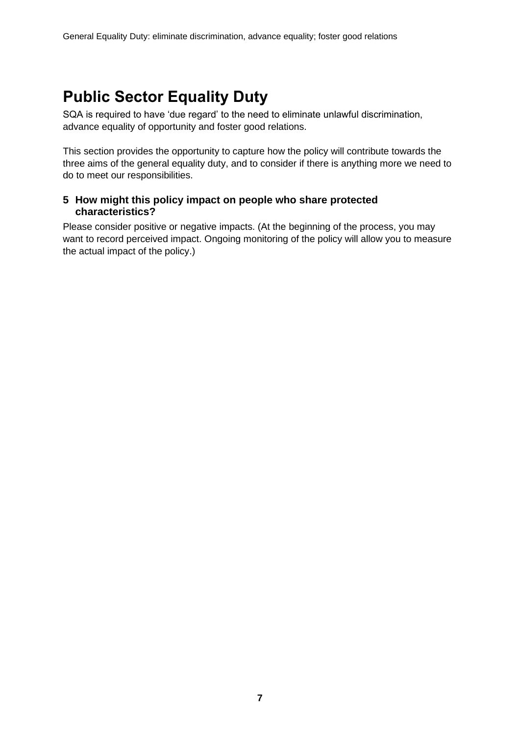# **Public Sector Equality Duty**

SQA is required to have 'due regard' to the need to eliminate unlawful discrimination, advance equality of opportunity and foster good relations.

This section provides the opportunity to capture how the policy will contribute towards the three aims of the general equality duty, and to consider if there is anything more we need to do to meet our responsibilities.

#### **5 How might this policy impact on people who share protected characteristics?**

Please consider positive or negative impacts. (At the beginning of the process, you may want to record perceived impact. Ongoing monitoring of the policy will allow you to measure the actual impact of the policy.)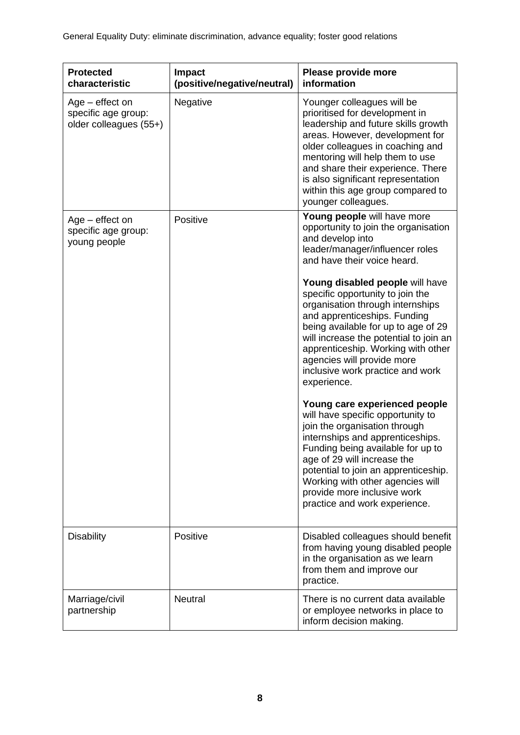| <b>Protected</b><br>characteristic                                 | <b>Impact</b><br>(positive/negative/neutral) | Please provide more<br>information                                                                                                                                                                                                                                                                                                                      |  |  |
|--------------------------------------------------------------------|----------------------------------------------|---------------------------------------------------------------------------------------------------------------------------------------------------------------------------------------------------------------------------------------------------------------------------------------------------------------------------------------------------------|--|--|
| $Age - effect on$<br>specific age group:<br>older colleagues (55+) | Negative                                     | Younger colleagues will be<br>prioritised for development in<br>leadership and future skills growth<br>areas. However, development for<br>older colleagues in coaching and<br>mentoring will help them to use<br>and share their experience. There<br>is also significant representation<br>within this age group compared to<br>younger colleagues.    |  |  |
| $Age - effect on$<br>specific age group:<br>young people           | Positive                                     | Young people will have more<br>opportunity to join the organisation<br>and develop into<br>leader/manager/influencer roles<br>and have their voice heard.                                                                                                                                                                                               |  |  |
|                                                                    |                                              | Young disabled people will have<br>specific opportunity to join the<br>organisation through internships<br>and apprenticeships. Funding<br>being available for up to age of 29<br>will increase the potential to join an<br>apprenticeship. Working with other<br>agencies will provide more<br>inclusive work practice and work<br>experience.         |  |  |
|                                                                    |                                              | Young care experienced people<br>will have specific opportunity to<br>join the organisation through<br>internships and apprenticeships.<br>Funding being available for up to<br>age of 29 will increase the<br>potential to join an apprenticeship.<br>Working with other agencies will<br>provide more inclusive work<br>practice and work experience. |  |  |
| <b>Disability</b>                                                  | Positive                                     | Disabled colleagues should benefit<br>from having young disabled people<br>in the organisation as we learn<br>from them and improve our<br>practice.                                                                                                                                                                                                    |  |  |
| Marriage/civil<br>partnership                                      | <b>Neutral</b>                               | There is no current data available<br>or employee networks in place to<br>inform decision making.                                                                                                                                                                                                                                                       |  |  |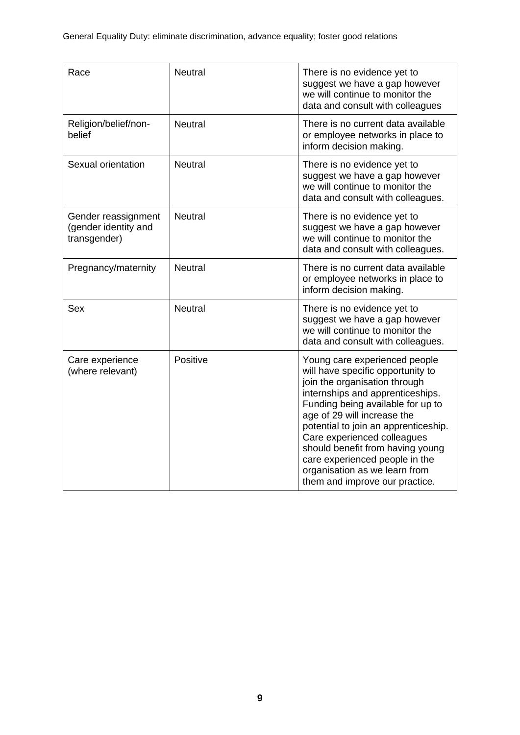| Race                                                        | <b>Neutral</b> | There is no evidence yet to<br>suggest we have a gap however<br>we will continue to monitor the<br>data and consult with colleagues                                                                                                                                                                                                                                                                                         |  |
|-------------------------------------------------------------|----------------|-----------------------------------------------------------------------------------------------------------------------------------------------------------------------------------------------------------------------------------------------------------------------------------------------------------------------------------------------------------------------------------------------------------------------------|--|
| Religion/belief/non-<br>belief                              | <b>Neutral</b> | There is no current data available<br>or employee networks in place to<br>inform decision making.                                                                                                                                                                                                                                                                                                                           |  |
| Sexual orientation                                          | <b>Neutral</b> | There is no evidence yet to<br>suggest we have a gap however<br>we will continue to monitor the<br>data and consult with colleagues.                                                                                                                                                                                                                                                                                        |  |
| Gender reassignment<br>(gender identity and<br>transgender) | <b>Neutral</b> | There is no evidence yet to<br>suggest we have a gap however<br>we will continue to monitor the<br>data and consult with colleagues.                                                                                                                                                                                                                                                                                        |  |
| Pregnancy/maternity                                         | <b>Neutral</b> | There is no current data available<br>or employee networks in place to<br>inform decision making.                                                                                                                                                                                                                                                                                                                           |  |
| Sex                                                         | <b>Neutral</b> | There is no evidence yet to<br>suggest we have a gap however<br>we will continue to monitor the<br>data and consult with colleagues.                                                                                                                                                                                                                                                                                        |  |
| Care experience<br>(where relevant)                         | Positive       | Young care experienced people<br>will have specific opportunity to<br>join the organisation through<br>internships and apprenticeships.<br>Funding being available for up to<br>age of 29 will increase the<br>potential to join an apprenticeship.<br>Care experienced colleagues<br>should benefit from having young<br>care experienced people in the<br>organisation as we learn from<br>them and improve our practice. |  |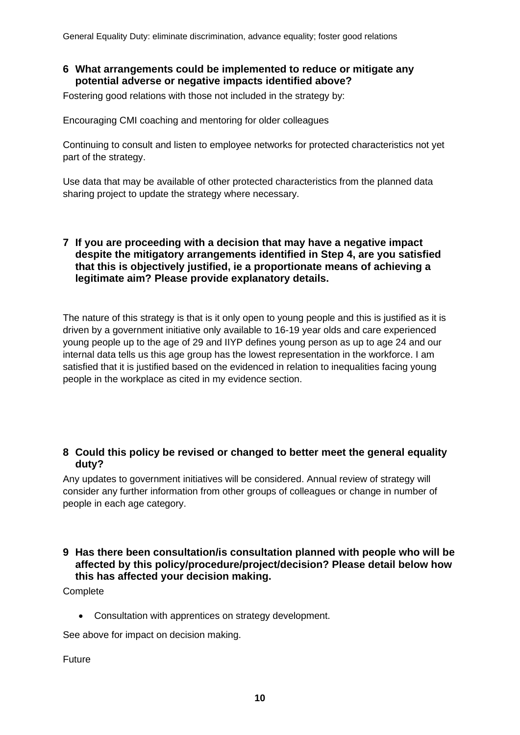#### **6 What arrangements could be implemented to reduce or mitigate any potential adverse or negative impacts identified above?**

Fostering good relations with those not included in the strategy by:

Encouraging CMI coaching and mentoring for older colleagues

Continuing to consult and listen to employee networks for protected characteristics not yet part of the strategy.

Use data that may be available of other protected characteristics from the planned data sharing project to update the strategy where necessary.

#### **7 If you are proceeding with a decision that may have a negative impact despite the mitigatory arrangements identified in Step 4, are you satisfied that this is objectively justified, ie a proportionate means of achieving a legitimate aim? Please provide explanatory details.**

The nature of this strategy is that is it only open to young people and this is justified as it is driven by a government initiative only available to 16-19 year olds and care experienced young people up to the age of 29 and IIYP defines young person as up to age 24 and our internal data tells us this age group has the lowest representation in the workforce. I am satisfied that it is justified based on the evidenced in relation to inequalities facing young people in the workplace as cited in my evidence section.

#### **8 Could this policy be revised or changed to better meet the general equality duty?**

Any updates to government initiatives will be considered. Annual review of strategy will consider any further information from other groups of colleagues or change in number of people in each age category.

#### **9 Has there been consultation/is consultation planned with people who will be affected by this policy/procedure/project/decision? Please detail below how this has affected your decision making.**

**Complete** 

• Consultation with apprentices on strategy development.

See above for impact on decision making.

Future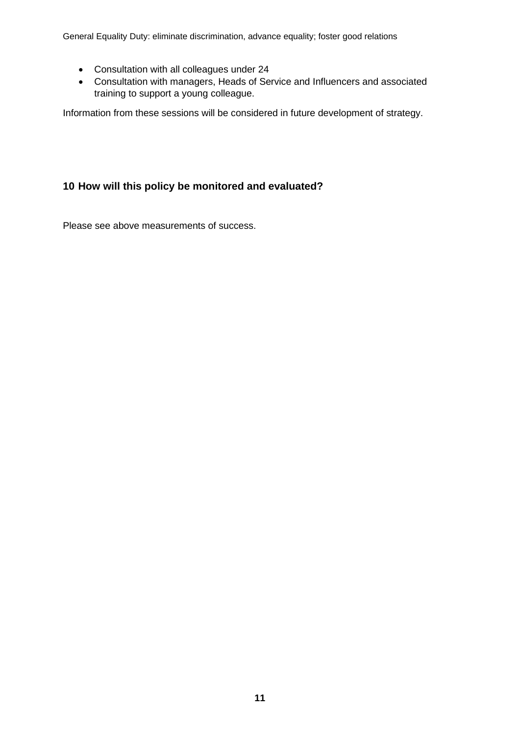General Equality Duty: eliminate discrimination, advance equality; foster good relations

- Consultation with all colleagues under 24
- Consultation with managers, Heads of Service and Influencers and associated training to support a young colleague.

Information from these sessions will be considered in future development of strategy.

#### **10 How will this policy be monitored and evaluated?**

Please see above measurements of success.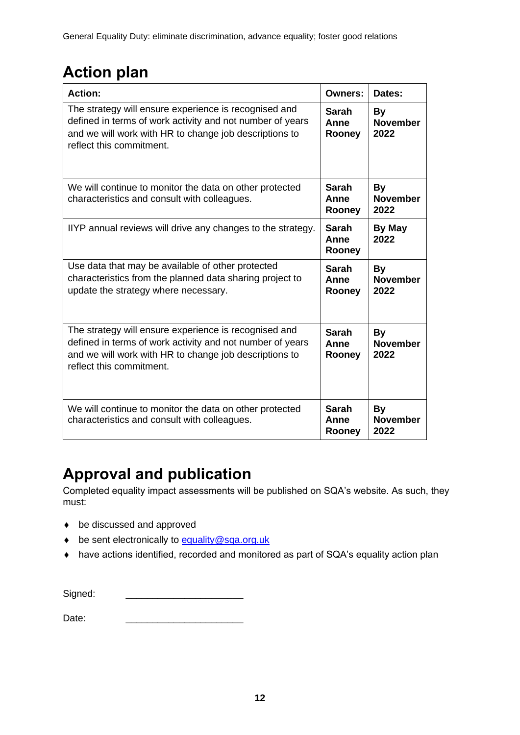# **Action plan**

| <b>Action:</b>                                                                                                                                                                                           | <b>Owners:</b>                 | Dates:                        |
|----------------------------------------------------------------------------------------------------------------------------------------------------------------------------------------------------------|--------------------------------|-------------------------------|
| The strategy will ensure experience is recognised and<br>defined in terms of work activity and not number of years<br>and we will work with HR to change job descriptions to<br>reflect this commitment. | Sarah<br>Anne<br>Rooney        | By<br><b>November</b><br>2022 |
| We will continue to monitor the data on other protected<br>characteristics and consult with colleagues.                                                                                                  | Sarah<br>Anne<br>Rooney        | By<br><b>November</b><br>2022 |
| IIYP annual reviews will drive any changes to the strategy.                                                                                                                                              | <b>Sarah</b><br>Anne<br>Rooney | By May<br>2022                |
| Use data that may be available of other protected<br>characteristics from the planned data sharing project to<br>update the strategy where necessary.                                                    | Sarah<br>Anne<br>Rooney        | By<br><b>November</b><br>2022 |
| The strategy will ensure experience is recognised and<br>defined in terms of work activity and not number of years<br>and we will work with HR to change job descriptions to<br>reflect this commitment. | <b>Sarah</b><br>Anne<br>Rooney | By<br><b>November</b><br>2022 |
| We will continue to monitor the data on other protected<br>characteristics and consult with colleagues.                                                                                                  | <b>Sarah</b><br>Anne<br>Rooney | By<br><b>November</b><br>2022 |

# **Approval and publication**

Completed equality impact assessments will be published on SQA's website. As such, they must:

- be discussed and approved
- be sent electronically to **equality@sqa.org.uk**
- have actions identified, recorded and monitored as part of SQA's equality action plan

Date: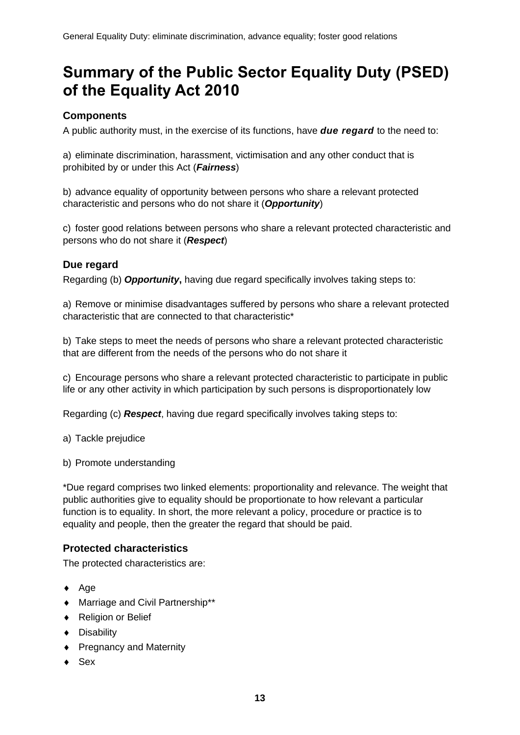### **Summary of the Public Sector Equality Duty (PSED) of the Equality Act 2010**

#### **Components**

A public authority must, in the exercise of its functions, have *due regard* to the need to:

a) eliminate discrimination, harassment, victimisation and any other conduct that is prohibited by or under this Act (*Fairness*)

b) advance equality of opportunity between persons who share a relevant protected characteristic and persons who do not share it (*Opportunity*)

c) foster good relations between persons who share a relevant protected characteristic and persons who do not share it (*Respect*)

#### **Due regard**

Regarding (b) *Opportunity***,** having due regard specifically involves taking steps to:

a) Remove or minimise disadvantages suffered by persons who share a relevant protected characteristic that are connected to that characteristic\*

b) Take steps to meet the needs of persons who share a relevant protected characteristic that are different from the needs of the persons who do not share it

c) Encourage persons who share a relevant protected characteristic to participate in public life or any other activity in which participation by such persons is disproportionately low

Regarding (c) *Respect*, having due regard specifically involves taking steps to:

a) Tackle prejudice

b) Promote understanding

\*Due regard comprises two linked elements: proportionality and relevance. The weight that public authorities give to equality should be proportionate to how relevant a particular function is to equality. In short, the more relevant a policy, procedure or practice is to equality and people, then the greater the regard that should be paid.

#### **Protected characteristics**

The protected characteristics are:

- $\leftrightarrow$  Age
- Marriage and Civil Partnership\*\*
- ◆ Religion or Belief
- ◆ Disability
- ◆ Pregnancy and Maternity
- $\bullet$  Sex